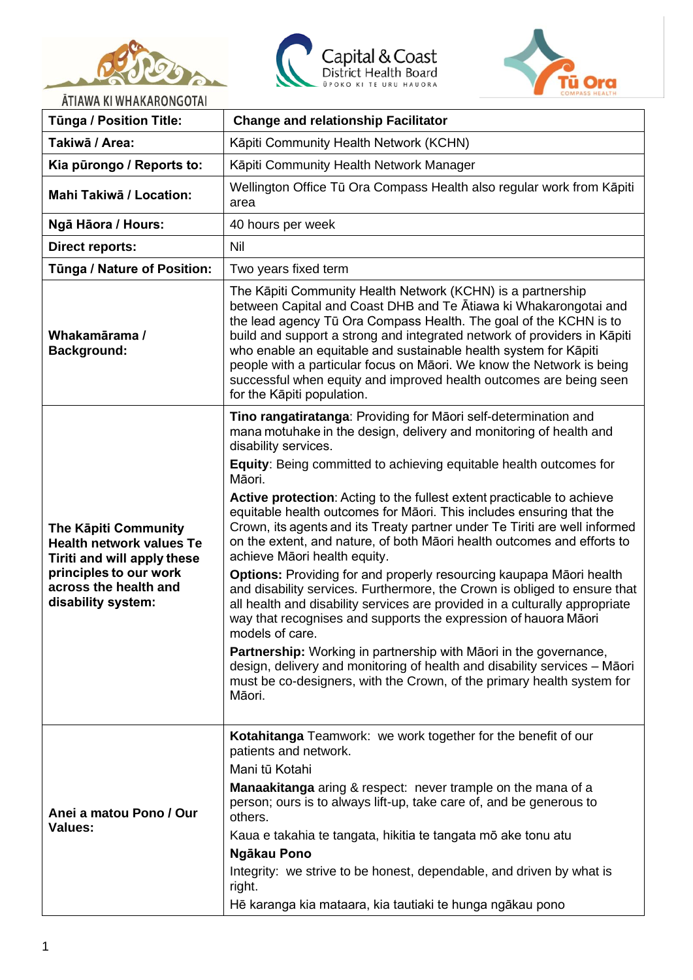





ĀTIAWA KI WHAKARONGOTAI

| ATIAWA KI WHAKAKONGOTAI<br><b>Tünga / Position Title:</b>                                                                                                              | <b>Change and relationship Facilitator</b>                                                                                                                                                                                                                                                                                                                                                                                                                                                                                                                                                                                                                                                                                                                                                                                                                                                                                                                                                                                                                                                                                                                     |  |
|------------------------------------------------------------------------------------------------------------------------------------------------------------------------|----------------------------------------------------------------------------------------------------------------------------------------------------------------------------------------------------------------------------------------------------------------------------------------------------------------------------------------------------------------------------------------------------------------------------------------------------------------------------------------------------------------------------------------------------------------------------------------------------------------------------------------------------------------------------------------------------------------------------------------------------------------------------------------------------------------------------------------------------------------------------------------------------------------------------------------------------------------------------------------------------------------------------------------------------------------------------------------------------------------------------------------------------------------|--|
| Takiwā / Area:                                                                                                                                                         | Kāpiti Community Health Network (KCHN)                                                                                                                                                                                                                                                                                                                                                                                                                                                                                                                                                                                                                                                                                                                                                                                                                                                                                                                                                                                                                                                                                                                         |  |
| Kia pūrongo / Reports to:                                                                                                                                              | Käpiti Community Health Network Manager                                                                                                                                                                                                                                                                                                                                                                                                                                                                                                                                                                                                                                                                                                                                                                                                                                                                                                                                                                                                                                                                                                                        |  |
| Mahi Takiwā / Location:                                                                                                                                                | Wellington Office Tū Ora Compass Health also regular work from Kāpiti<br>area                                                                                                                                                                                                                                                                                                                                                                                                                                                                                                                                                                                                                                                                                                                                                                                                                                                                                                                                                                                                                                                                                  |  |
| Ngā Hāora / Hours:                                                                                                                                                     | 40 hours per week                                                                                                                                                                                                                                                                                                                                                                                                                                                                                                                                                                                                                                                                                                                                                                                                                                                                                                                                                                                                                                                                                                                                              |  |
| <b>Direct reports:</b>                                                                                                                                                 | Nil                                                                                                                                                                                                                                                                                                                                                                                                                                                                                                                                                                                                                                                                                                                                                                                                                                                                                                                                                                                                                                                                                                                                                            |  |
| Tūnga / Nature of Position:                                                                                                                                            | Two years fixed term                                                                                                                                                                                                                                                                                                                                                                                                                                                                                                                                                                                                                                                                                                                                                                                                                                                                                                                                                                                                                                                                                                                                           |  |
| Whakamārama /<br><b>Background:</b>                                                                                                                                    | The Kāpiti Community Health Network (KCHN) is a partnership<br>between Capital and Coast DHB and Te Atiawa ki Whakarongotai and<br>the lead agency Tū Ora Compass Health. The goal of the KCHN is to<br>build and support a strong and integrated network of providers in Kāpiti<br>who enable an equitable and sustainable health system for Kāpiti<br>people with a particular focus on Māori. We know the Network is being<br>successful when equity and improved health outcomes are being seen<br>for the Kāpiti population.                                                                                                                                                                                                                                                                                                                                                                                                                                                                                                                                                                                                                              |  |
| <b>The Käpiti Community</b><br><b>Health network values Te</b><br>Tiriti and will apply these<br>principles to our work<br>across the health and<br>disability system: | Tino rangatiratanga: Providing for Māori self-determination and<br>mana motuhake in the design, delivery and monitoring of health and<br>disability services.<br><b>Equity:</b> Being committed to achieving equitable health outcomes for<br>Māori.<br>Active protection: Acting to the fullest extent practicable to achieve<br>equitable health outcomes for Māori. This includes ensuring that the<br>Crown, its agents and its Treaty partner under Te Tiriti are well informed<br>on the extent, and nature, of both Māori health outcomes and efforts to<br>achieve Māori health equity.<br>Options: Providing for and properly resourcing kaupapa Māori health<br>and disability services. Furthermore, the Crown is obliged to ensure that<br>all health and disability services are provided in a culturally appropriate<br>way that recognises and supports the expression of hauora Māori<br>models of care.<br>Partnership: Working in partnership with Māori in the governance,<br>design, delivery and monitoring of health and disability services - Māori<br>must be co-designers, with the Crown, of the primary health system for<br>Māori. |  |
| Anei a matou Pono / Our<br><b>Values:</b>                                                                                                                              | Kotahitanga Teamwork: we work together for the benefit of our<br>patients and network.<br>Mani tū Kotahi<br>Manaakitanga aring & respect: never trample on the mana of a<br>person; ours is to always lift-up, take care of, and be generous to<br>others.<br>Kaua e takahia te tangata, hikitia te tangata mō ake tonu atu<br>Ngākau Pono<br>Integrity: we strive to be honest, dependable, and driven by what is<br>right.<br>Hē karanga kia mataara, kia tautiaki te hunga ngākau pono                                                                                                                                                                                                                                                                                                                                                                                                                                                                                                                                                                                                                                                                      |  |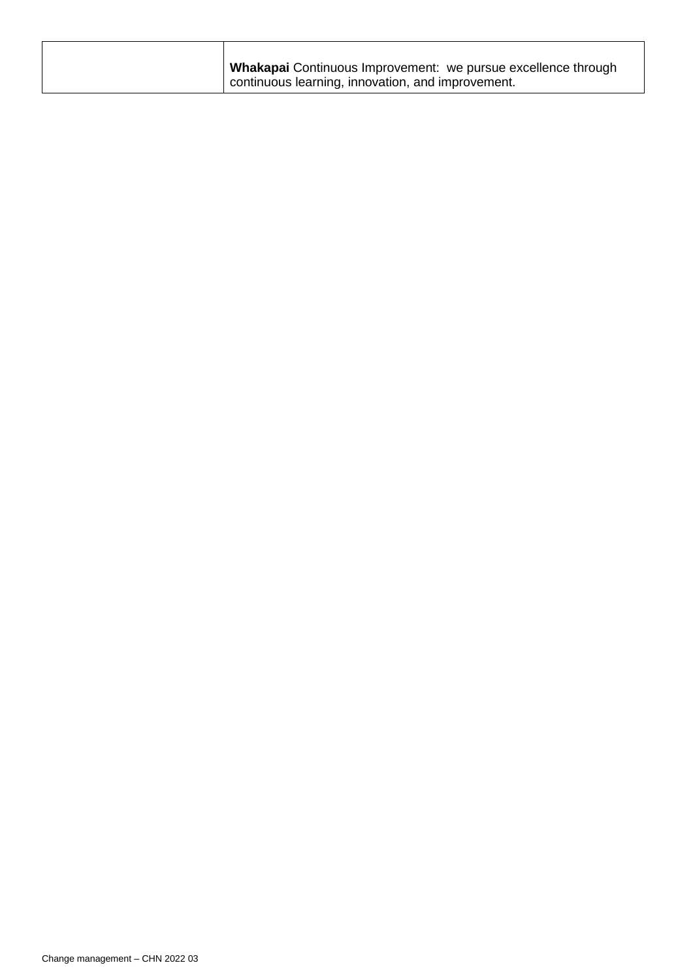| Whakapai Continuous Improvement: we pursue excellence through |
|---------------------------------------------------------------|
| continuous learning, innovation, and improvement.             |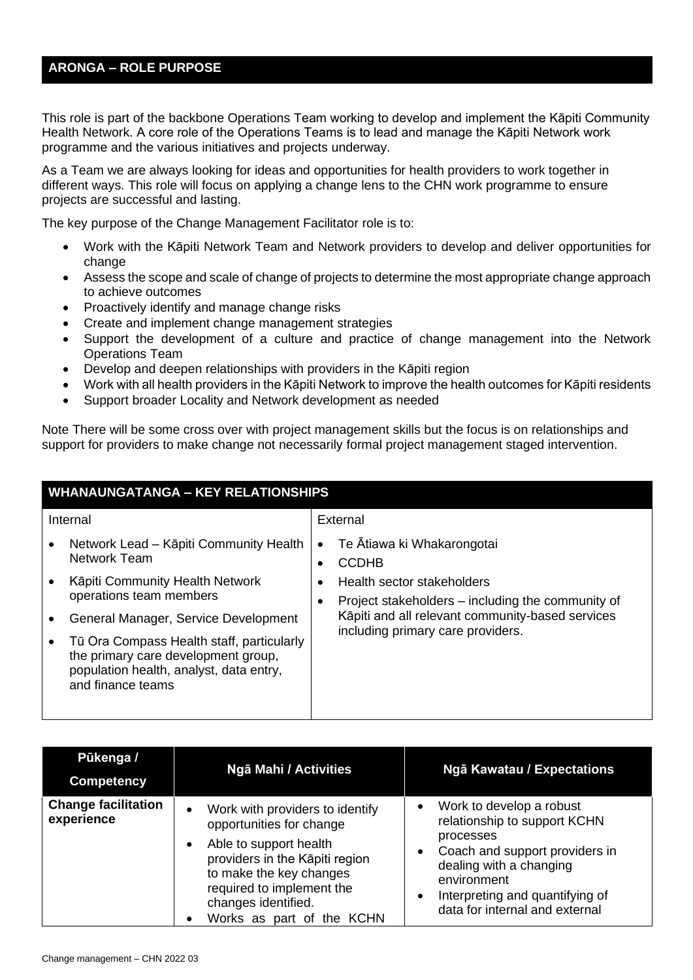## **ARONGA – ROLE PURPOSE**

This role is part of the backbone Operations Team working to develop and implement the Kāpiti Community Health Network. A core role of the Operations Teams is to lead and manage the Kāpiti Network work programme and the various initiatives and projects underway.

As a Team we are always looking for ideas and opportunities for health providers to work together in different ways. This role will focus on applying a change lens to the CHN work programme to ensure projects are successful and lasting.

The key purpose of the Change Management Facilitator role is to:

- Work with the Kāpiti Network Team and Network providers to develop and deliver opportunities for change
- Assess the scope and scale of change of projects to determine the most appropriate change approach to achieve outcomes
- Proactively identify and manage change risks
- Create and implement change management strategies
- Support the development of a culture and practice of change management into the Network Operations Team
- Develop and deepen relationships with providers in the Kāpiti region
- Work with all health providers in the Kāpiti Network to improve the health outcomes for Kāpiti residents
- Support broader Locality and Network development as needed

Note There will be some cross over with project management skills but the focus is on relationships and support for providers to make change not necessarily formal project management staged intervention.

| <b>WHANAUNGATANGA - KEY RELATIONSHIPS</b> |                                                                                                                                                  |                                   |                                                                                 |
|-------------------------------------------|--------------------------------------------------------------------------------------------------------------------------------------------------|-----------------------------------|---------------------------------------------------------------------------------|
|                                           | Internal                                                                                                                                         |                                   | External                                                                        |
|                                           | Network Lead – Kāpiti Community Health<br><b>Network Team</b>                                                                                    |                                   | Te Ātiawa ki Whakarongotai<br>CCDHB                                             |
|                                           | Kāpiti Community Health Network<br>operations team members                                                                                       |                                   | Health sector stakeholders<br>Project stakeholders - including the community of |
|                                           | General Manager, Service Development                                                                                                             | including primary care providers. | Kāpiti and all relevant community-based services                                |
|                                           | Tū Ora Compass Health staff, particularly<br>the primary care development group,<br>population health, analyst, data entry,<br>and finance teams |                                   |                                                                                 |

| Pūkenga /<br><b>Competency</b>           | <b>Ngā Mahi / Activities</b>                                                                                                                                                                                                                     | Ngā Kawatau / Expectations                                                                                                                                                                                                                                    |
|------------------------------------------|--------------------------------------------------------------------------------------------------------------------------------------------------------------------------------------------------------------------------------------------------|---------------------------------------------------------------------------------------------------------------------------------------------------------------------------------------------------------------------------------------------------------------|
| <b>Change facilitation</b><br>experience | Work with providers to identify<br>$\bullet$<br>opportunities for change<br>Able to support health<br>providers in the Kāpiti region<br>to make the key changes<br>required to implement the<br>changes identified.<br>Works as part of the KCHN | Work to develop a robust<br>$\bullet$<br>relationship to support KCHN<br>processes<br>Coach and support providers in<br>$\bullet$<br>dealing with a changing<br>environment<br>Interpreting and quantifying of<br>$\bullet$<br>data for internal and external |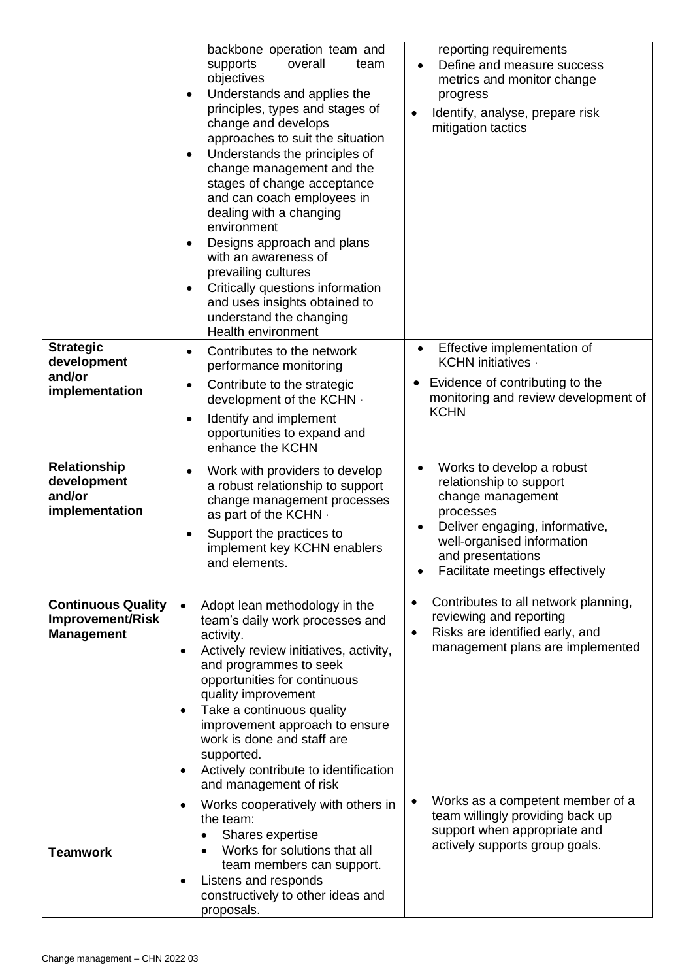|                                                                    | backbone operation team and<br>overall<br>supports<br>team<br>objectives<br>Understands and applies the<br>$\bullet$<br>principles, types and stages of<br>change and develops<br>approaches to suit the situation<br>Understands the principles of<br>change management and the<br>stages of change acceptance<br>and can coach employees in<br>dealing with a changing<br>environment<br>Designs approach and plans<br>with an awareness of<br>prevailing cultures<br>Critically questions information<br>$\bullet$<br>and uses insights obtained to<br>understand the changing<br>Health environment | reporting requirements<br>Define and measure success<br>$\bullet$<br>metrics and monitor change<br>progress<br>Identify, analyse, prepare risk<br>$\bullet$<br>mitigation tactics |
|--------------------------------------------------------------------|---------------------------------------------------------------------------------------------------------------------------------------------------------------------------------------------------------------------------------------------------------------------------------------------------------------------------------------------------------------------------------------------------------------------------------------------------------------------------------------------------------------------------------------------------------------------------------------------------------|-----------------------------------------------------------------------------------------------------------------------------------------------------------------------------------|
| <b>Strategic</b><br>development                                    | Contributes to the network<br>$\bullet$<br>performance monitoring                                                                                                                                                                                                                                                                                                                                                                                                                                                                                                                                       | Effective implementation of<br>$\bullet$<br>KCHN initiatives ·                                                                                                                    |
| and/or<br>implementation                                           | Contribute to the strategic<br>٠<br>development of the KCHN $\cdot$<br>Identify and implement<br>٠<br>opportunities to expand and<br>enhance the KCHN                                                                                                                                                                                                                                                                                                                                                                                                                                                   | Evidence of contributing to the<br>monitoring and review development of<br><b>KCHN</b>                                                                                            |
| <b>Relationship</b>                                                | Work with providers to develop<br>$\bullet$                                                                                                                                                                                                                                                                                                                                                                                                                                                                                                                                                             | Works to develop a robust<br>$\bullet$                                                                                                                                            |
| development<br>and/or<br>implementation                            | a robust relationship to support<br>change management processes                                                                                                                                                                                                                                                                                                                                                                                                                                                                                                                                         | relationship to support<br>change management<br>processes                                                                                                                         |
|                                                                    | as part of the KCHN .<br>Support the practices to<br>٠<br>implement key KCHN enablers<br>and elements.                                                                                                                                                                                                                                                                                                                                                                                                                                                                                                  | Deliver engaging, informative,<br>$\bullet$<br>well-organised information<br>and presentations<br>Facilitate meetings effectively                                                 |
| <b>Continuous Quality</b><br>Improvement/Risk<br><b>Management</b> | Adopt lean methodology in the<br>$\bullet$<br>team's daily work processes and<br>activity.<br>Actively review initiatives, activity,<br>$\bullet$<br>and programmes to seek<br>opportunities for continuous<br>quality improvement<br>Take a continuous quality<br>٠<br>improvement approach to ensure<br>work is done and staff are<br>supported.<br>Actively contribute to identification<br>$\bullet$<br>and management of risk                                                                                                                                                                      | Contributes to all network planning,<br>$\bullet$<br>reviewing and reporting<br>Risks are identified early, and<br>$\bullet$<br>management plans are implemented                  |
| <b>Teamwork</b>                                                    | Works cooperatively with others in<br>$\bullet$<br>the team:<br>Shares expertise<br>Works for solutions that all<br>team members can support.<br>Listens and responds<br>٠<br>constructively to other ideas and<br>proposals.                                                                                                                                                                                                                                                                                                                                                                           | Works as a competent member of a<br>$\bullet$<br>team willingly providing back up<br>support when appropriate and<br>actively supports group goals.                               |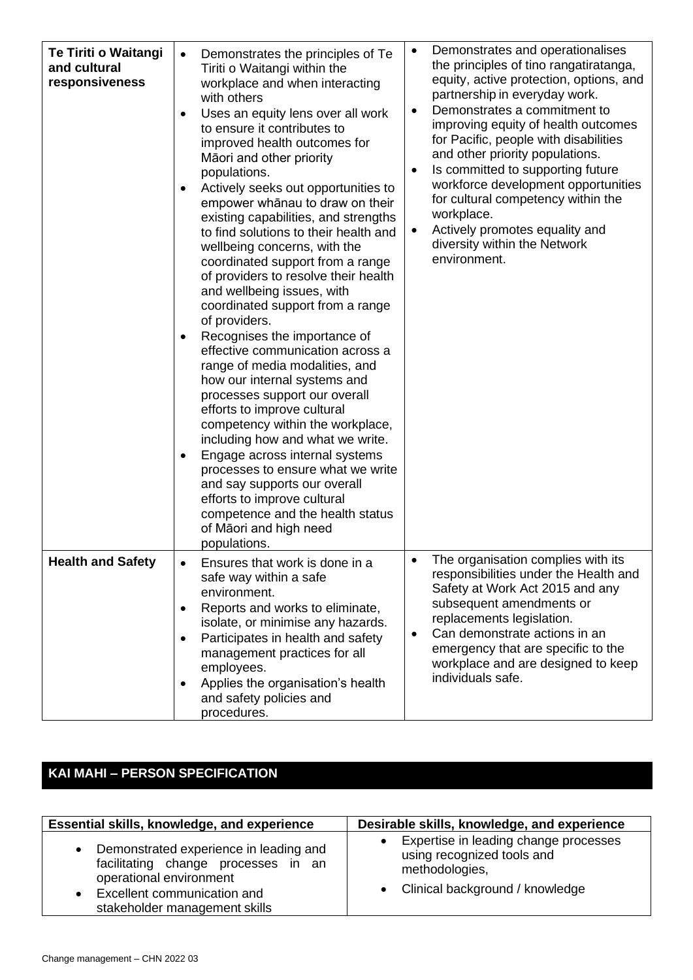| Te Tiriti o Waitangi<br>and cultural<br>responsiveness | Demonstrates the principles of Te<br>$\bullet$<br>Tiriti o Waitangi within the<br>workplace and when interacting<br>with others<br>Uses an equity lens over all work<br>٠<br>to ensure it contributes to<br>improved health outcomes for<br>Māori and other priority<br>populations.<br>Actively seeks out opportunities to<br>$\bullet$<br>empower whānau to draw on their<br>existing capabilities, and strengths<br>to find solutions to their health and<br>wellbeing concerns, with the<br>coordinated support from a range<br>of providers to resolve their health<br>and wellbeing issues, with<br>coordinated support from a range<br>of providers.<br>Recognises the importance of<br>٠<br>effective communication across a<br>range of media modalities, and<br>how our internal systems and<br>processes support our overall<br>efforts to improve cultural<br>competency within the workplace,<br>including how and what we write.<br>Engage across internal systems<br>٠<br>processes to ensure what we write<br>and say supports our overall<br>efforts to improve cultural<br>competence and the health status<br>of Māori and high need<br>populations. | Demonstrates and operationalises<br>the principles of tino rangatiratanga,<br>equity, active protection, options, and<br>partnership in everyday work.<br>Demonstrates a commitment to<br>$\bullet$<br>improving equity of health outcomes<br>for Pacific, people with disabilities<br>and other priority populations.<br>Is committed to supporting future<br>workforce development opportunities<br>for cultural competency within the<br>workplace.<br>Actively promotes equality and<br>$\bullet$<br>diversity within the Network<br>environment. |
|--------------------------------------------------------|-------------------------------------------------------------------------------------------------------------------------------------------------------------------------------------------------------------------------------------------------------------------------------------------------------------------------------------------------------------------------------------------------------------------------------------------------------------------------------------------------------------------------------------------------------------------------------------------------------------------------------------------------------------------------------------------------------------------------------------------------------------------------------------------------------------------------------------------------------------------------------------------------------------------------------------------------------------------------------------------------------------------------------------------------------------------------------------------------------------------------------------------------------------------------|-------------------------------------------------------------------------------------------------------------------------------------------------------------------------------------------------------------------------------------------------------------------------------------------------------------------------------------------------------------------------------------------------------------------------------------------------------------------------------------------------------------------------------------------------------|
| <b>Health and Safety</b>                               | Ensures that work is done in a<br>safe way within a safe<br>environment.<br>Reports and works to eliminate,<br>٠<br>isolate, or minimise any hazards.<br>Participates in health and safety<br>$\bullet$<br>management practices for all<br>employees.<br>Applies the organisation's health<br>$\bullet$<br>and safety policies and<br>procedures.                                                                                                                                                                                                                                                                                                                                                                                                                                                                                                                                                                                                                                                                                                                                                                                                                       | The organisation complies with its<br>responsibilities under the Health and<br>Safety at Work Act 2015 and any<br>subsequent amendments or<br>replacements legislation.<br>Can demonstrate actions in an<br>$\bullet$<br>emergency that are specific to the<br>workplace and are designed to keep<br>individuals safe.                                                                                                                                                                                                                                |

## **KAI MAHI – PERSON SPECIFICATION**

| Essential skills, knowledge, and experience                                                                                                                              | Desirable skills, knowledge, and experience                                                                                |
|--------------------------------------------------------------------------------------------------------------------------------------------------------------------------|----------------------------------------------------------------------------------------------------------------------------|
| Demonstrated experience in leading and<br>facilitating change processes in an<br>operational environment<br>Excellent communication and<br>stakeholder management skills | Expertise in leading change processes<br>using recognized tools and<br>methodologies,<br>• Clinical background / knowledge |